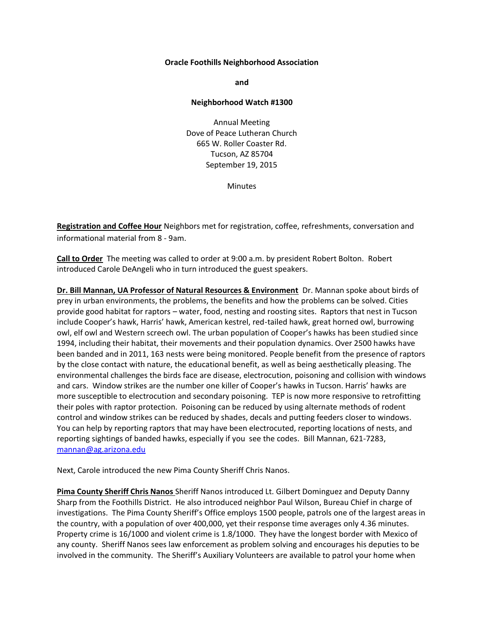## **Oracle Foothills Neighborhood Association**

**and**

## **Neighborhood Watch #1300**

Annual Meeting Dove of Peace Lutheran Church 665 W. Roller Coaster Rd. Tucson, AZ 85704 September 19, 2015

Minutes

**Registration and Coffee Hour** Neighbors met for registration, coffee, refreshments, conversation and informational material from 8 - 9am.

**Call to Order** The meeting was called to order at 9:00 a.m. by president Robert Bolton. Robert introduced Carole DeAngeli who in turn introduced the guest speakers.

**Dr. Bill Mannan, UA Professor of Natural Resources & Environment** Dr. Mannan spoke about birds of prey in urban environments, the problems, the benefits and how the problems can be solved. Cities provide good habitat for raptors – water, food, nesting and roosting sites. Raptors that nest in Tucson include Cooper's hawk, Harris' hawk, American kestrel, red-tailed hawk, great horned owl, burrowing owl, elf owl and Western screech owl. The urban population of Cooper's hawks has been studied since 1994, including their habitat, their movements and their population dynamics. Over 2500 hawks have been banded and in 2011, 163 nests were being monitored. People benefit from the presence of raptors by the close contact with nature, the educational benefit, as well as being aesthetically pleasing. The environmental challenges the birds face are disease, electrocution, poisoning and collision with windows and cars. Window strikes are the number one killer of Cooper's hawks in Tucson. Harris' hawks are more susceptible to electrocution and secondary poisoning. TEP is now more responsive to retrofitting their poles with raptor protection. Poisoning can be reduced by using alternate methods of rodent control and window strikes can be reduced by shades, decals and putting feeders closer to windows. You can help by reporting raptors that may have been electrocuted, reporting locations of nests, and reporting sightings of banded hawks, especially if you see the codes. Bill Mannan, 621-7283, [mannan@ag.arizona.edu](mailto:mannan@ag.arizona.edu)

Next, Carole introduced the new Pima County Sheriff Chris Nanos.

**Pima County Sheriff Chris Nanos** Sheriff Nanos introduced Lt. Gilbert Dominguez and Deputy Danny Sharp from the Foothills District. He also introduced neighbor Paul Wilson, Bureau Chief in charge of investigations. The Pima County Sheriff's Office employs 1500 people, patrols one of the largest areas in the country, with a population of over 400,000, yet their response time averages only 4.36 minutes. Property crime is 16/1000 and violent crime is 1.8/1000. They have the longest border with Mexico of any county. Sheriff Nanos sees law enforcement as problem solving and encourages his deputies to be involved in the community. The Sheriff's Auxiliary Volunteers are available to patrol your home when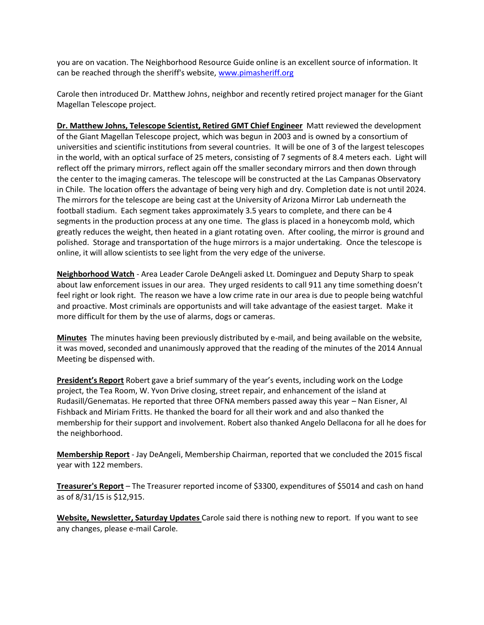you are on vacation. The Neighborhood Resource Guide online is an excellent source of information. It can be reached through the sheriff's website, [www.pimasheriff.org](http://www.pimasheriff.org/)

Carole then introduced Dr. Matthew Johns, neighbor and recently retired project manager for the Giant Magellan Telescope project.

**Dr. Matthew Johns, Telescope Scientist, Retired GMT Chief Engineer** Matt reviewed the development of the Giant Magellan Telescope project, which was begun in 2003 and is owned by a consortium of universities and scientific institutions from several countries. It will be one of 3 of the largest telescopes in the world, with an optical surface of 25 meters, consisting of 7 segments of 8.4 meters each. Light will reflect off the primary mirrors, reflect again off the smaller secondary mirrors and then down through the center to the imaging cameras. The telescope will be constructed at the Las Campanas Observatory in Chile. The location offers the advantage of being very high and dry. Completion date is not until 2024. The mirrors for the telescope are being cast at the University of Arizona Mirror Lab underneath the football stadium. Each segment takes approximately 3.5 years to complete, and there can be 4 segments in the production process at any one time. The glass is placed in a honeycomb mold, which greatly reduces the weight, then heated in a giant rotating oven. After cooling, the mirror is ground and polished. Storage and transportation of the huge mirrors is a major undertaking. Once the telescope is online, it will allow scientists to see light from the very edge of the universe.

**Neighborhood Watch** - Area Leader Carole DeAngeli asked Lt. Dominguez and Deputy Sharp to speak about law enforcement issues in our area. They urged residents to call 911 any time something doesn't feel right or look right. The reason we have a low crime rate in our area is due to people being watchful and proactive. Most criminals are opportunists and will take advantage of the easiest target. Make it more difficult for them by the use of alarms, dogs or cameras.

**Minutes** The minutes having been previously distributed by e-mail, and being available on the website, it was moved, seconded and unanimously approved that the reading of the minutes of the 2014 Annual Meeting be dispensed with.

**President's Report** Robert gave a brief summary of the year's events, including work on the Lodge project, the Tea Room, W. Yvon Drive closing, street repair, and enhancement of the island at Rudasill/Genematas. He reported that three OFNA members passed away this year – Nan Eisner, Al Fishback and Miriam Fritts. He thanked the board for all their work and and also thanked the membership for their support and involvement. Robert also thanked Angelo Dellacona for all he does for the neighborhood.

**Membership Report** - Jay DeAngeli, Membership Chairman, reported that we concluded the 2015 fiscal year with 122 members.

**Treasurer's Report** – The Treasurer reported income of \$3300, expenditures of \$5014 and cash on hand as of 8/31/15 is \$12,915.

**Website, Newsletter, Saturday Updates** Carole said there is nothing new to report. If you want to see any changes, please e-mail Carole.